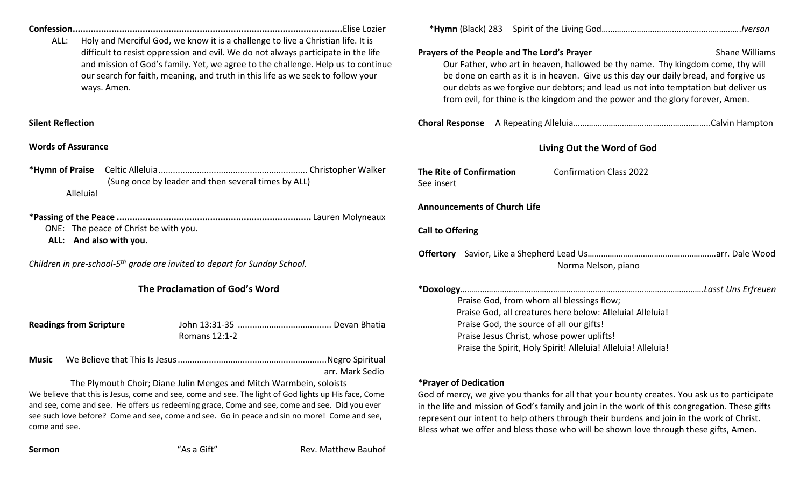| ALL:<br>ways. Amen.                                                                                                                                                                                                                                                                                                                                                                           | Holy and Merciful God, we know it is a challenge to live a Christian life. It is<br>difficult to resist oppression and evil. We do not always participate in the life<br>our search for faith, meaning, and truth in this life as we seek to follow your | and mission of God's family. Yet, we agree to the challenge. Help us to continue | Prayers of the People and The Lord's Prayer                                                                                                                                                                                                                                                                                                                                                                   | Our Father, who art in heaven, hallowed be thy name. Thy kingdom come, thy will<br>be done on earth as it is in heaven. Give us this day our daily bread, and forgive us<br>our debts as we forgive our debtors; and lead us not into temptation but deliver us<br>from evil, for thine is the kingdom and the power and the glory forever, Amen. | <b>Shane Williams</b> |
|-----------------------------------------------------------------------------------------------------------------------------------------------------------------------------------------------------------------------------------------------------------------------------------------------------------------------------------------------------------------------------------------------|----------------------------------------------------------------------------------------------------------------------------------------------------------------------------------------------------------------------------------------------------------|----------------------------------------------------------------------------------|---------------------------------------------------------------------------------------------------------------------------------------------------------------------------------------------------------------------------------------------------------------------------------------------------------------------------------------------------------------------------------------------------------------|---------------------------------------------------------------------------------------------------------------------------------------------------------------------------------------------------------------------------------------------------------------------------------------------------------------------------------------------------|-----------------------|
| <b>Silent Reflection</b>                                                                                                                                                                                                                                                                                                                                                                      |                                                                                                                                                                                                                                                          |                                                                                  |                                                                                                                                                                                                                                                                                                                                                                                                               |                                                                                                                                                                                                                                                                                                                                                   |                       |
| <b>Words of Assurance</b>                                                                                                                                                                                                                                                                                                                                                                     |                                                                                                                                                                                                                                                          |                                                                                  | Living Out the Word of God                                                                                                                                                                                                                                                                                                                                                                                    |                                                                                                                                                                                                                                                                                                                                                   |                       |
| *Hymn of Praise<br>Alleluia!                                                                                                                                                                                                                                                                                                                                                                  | (Sung once by leader and then several times by ALL)                                                                                                                                                                                                      |                                                                                  | The Rite of Confirmation<br>See insert                                                                                                                                                                                                                                                                                                                                                                        | <b>Confirmation Class 2022</b>                                                                                                                                                                                                                                                                                                                    |                       |
| ONE: The peace of Christ be with you.<br>ALL: And also with you.                                                                                                                                                                                                                                                                                                                              |                                                                                                                                                                                                                                                          |                                                                                  | <b>Announcements of Church Life</b><br><b>Call to Offering</b>                                                                                                                                                                                                                                                                                                                                                |                                                                                                                                                                                                                                                                                                                                                   |                       |
| Children in pre-school-5 <sup>th</sup> grade are invited to depart for Sunday School.                                                                                                                                                                                                                                                                                                         |                                                                                                                                                                                                                                                          |                                                                                  | Norma Nelson, piano                                                                                                                                                                                                                                                                                                                                                                                           |                                                                                                                                                                                                                                                                                                                                                   |                       |
| The Proclamation of God's Word                                                                                                                                                                                                                                                                                                                                                                |                                                                                                                                                                                                                                                          |                                                                                  |                                                                                                                                                                                                                                                                                                                                                                                                               | Praise God, from whom all blessings flow;<br>Praise God, all creatures here below: Alleluia! Alleluia!                                                                                                                                                                                                                                            |                       |
| <b>Readings from Scripture</b>                                                                                                                                                                                                                                                                                                                                                                | Romans 12:1-2                                                                                                                                                                                                                                            |                                                                                  | Praise God, the source of all our gifts!<br>Praise Jesus Christ, whose power uplifts!<br>Praise the Spirit, Holy Spirit! Alleluia! Alleluia! Alleluia!                                                                                                                                                                                                                                                        |                                                                                                                                                                                                                                                                                                                                                   |                       |
| <b>Music</b>                                                                                                                                                                                                                                                                                                                                                                                  |                                                                                                                                                                                                                                                          | arr. Mark Sedio                                                                  |                                                                                                                                                                                                                                                                                                                                                                                                               |                                                                                                                                                                                                                                                                                                                                                   |                       |
| The Plymouth Choir; Diane Julin Menges and Mitch Warmbein, soloists<br>We believe that this is Jesus, come and see, come and see. The light of God lights up His face, Come<br>and see, come and see. He offers us redeeming grace, Come and see, come and see. Did you ever<br>see such love before? Come and see, come and see. Go in peace and sin no more! Come and see,<br>come and see. |                                                                                                                                                                                                                                                          |                                                                                  | *Prayer of Dedication<br>God of mercy, we give you thanks for all that your bounty creates. You ask us to participate<br>in the life and mission of God's family and join in the work of this congregation. These gifts<br>represent our intent to help others through their burdens and join in the work of Christ.<br>Bless what we offer and bless those who will be shown love through these gifts, Amen. |                                                                                                                                                                                                                                                                                                                                                   |                       |
| Sermon                                                                                                                                                                                                                                                                                                                                                                                        | "As a Gift"                                                                                                                                                                                                                                              | Rev. Matthew Bauhof                                                              |                                                                                                                                                                                                                                                                                                                                                                                                               |                                                                                                                                                                                                                                                                                                                                                   |                       |